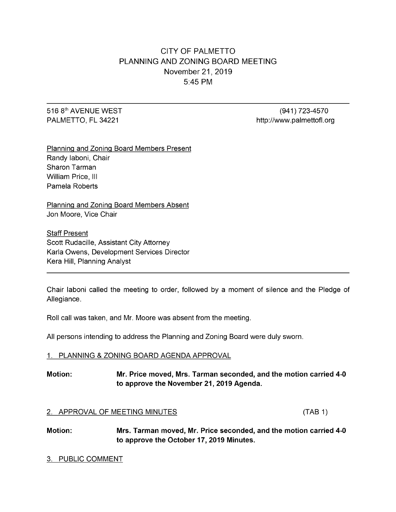# CITY OF PALMETTO PLANNING AND ZONING BOARD MEETING November 21, 2019 5:45 PM

# th 516 8<sup>th</sup> AVENUE WEST (941) 723-4570

PALMETTO, FL 34221 **http://www.palmettofl.org** 

Planning and Zoning Board Members Present Randy Iaboni, Chair Sharon Tarman William Price, III Pamela Roberts

Planning and Zoning Board Members Absent Jon Moore, Vice Chair

**Staff Present** Scott Rudacille, Assistant City Attorney Karla Owens, Development Services Director Kera Hill, Planning Analyst

Chair laboni called the meeting to order, followed by a moment of silence and the Pledge of Allegiance.

Roll call was taken, and Mr. Moore was absent from the meeting.

All persons intending to address the Planning and Zoning Board were duly sworn.

#### 1. PLANNING & ZONING BOARD AGENDA APPROVAL

# Motion: Mr. Price moved, Mrs. Tarman seconded, and the motion carried 4-0 to approve the November 21, 2019 Agenda.

#### 2. APPROVAL OF MEETING MINUTES (TAB 1)

Motion: Mrs. Tarman moved, Mr. Price seconded, and the motion carried 4-0 to approve the October 17, 2019 Minutes.

#### 3. PUBLIC COMMENT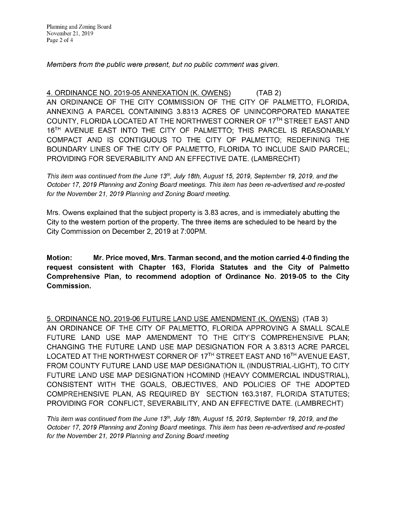Planning and Zoning Board November21, 2019 Page 2 of 4

Members from the public were present, but no public comment was given.

4. ORDINANCE NO. 2019-05 ANNEXATION (K. OWENS) (TAB 2) AN ORDINANCE OF THE CITY COMMISSION OF THE CITY OF PALMETTO, FLORIDA, ANNEXING A PARCEL CONTAINING 3.8313 ACRES OF UNINCORPORATED MANATEE COUNTY, FLORIDA LOCATED AT THE NORTHWEST CORNER OF 17<sup>TH</sup> STREET EAST AND 16<sup>TH</sup> AVENUE EAST INTO THE CITY OF PALMETTO; THIS PARCEL IS REASONABLY COMPACT AND IS CONTIGUOUS TO THE CITY OF PALMETTO; REDEFINING THE BOUNDARY LINES OF THE CITY OF PALMETTO, FLORIDA TO INCLUDE SAID PARCEL; PROVIDING FOR SEVERABILITY AND AN EFFECTIVE DATE. (LAMBRECHT)

This item was continued from the June 13<sup>th</sup>, July 18th, August 15, 2019, September 19, 2019, and the October 17, 2019 Planning and Zoning Board meetings. This item has been re-advertised and re-posted for the November 21, 2019 Planning and Zoning Board meeting.

Mrs. Owens explained that the subject property is 3.83 acres, and is immediately abutting the City to the western portion of the property. The three items are scheduled to be heard by the City Commission on December 2, 2019 at 7:00PM.

Motion: Mr. Price moved, Mrs. Tarman second, and themotion carried 4-0finding the request consistent with Chapter 163, Florida Statutes and the City of Palmetto Comprehensive Plan, to recommend adoption of Ordinance No. 2019-05 to the City Commission.

5. ORDINANCE NO. 2019-06FUTURELANDUSEAMENDMENT (K. OWENS) ( TAB3) AN ORDINANCE OF THE CITY OF PALMETTO, FLORIDA APPROVING A SMALL SCALE FUTURE LAND USE MAP AMENDMENT TO THE CITY'S COMPREHENSIVE PLAN; CHANGING THE FUTURE LAND USE MAP DESIGNATION FOR A 3.8313 ACRE PARCEL LOCATED AT THE NORTHWEST CORNER OF 17<sup>TH</sup> STREET EAST AND 16<sup>TH</sup> AVENUE EAST, FROM COUNTY FUTURE LAND USE MAP DESIGNATION IL (INDUSTRIAL-LIGHT), TO CITY FUTURE LAND USE MAP DESIGNATION HCOMIND (HEAVY COMMERCIAL INDUSTRIAL), CONSISTENT WITH THE GOALS, OBJECTIVES, AND POLICIES OF THE ADOPTED COMPREHENSIVE PLAN, AS REQUIRED BY SECTION 163.3187, FLORIDA STATUTES; PROVIDING FOR CONFLICT, SEVERABILITY, ANDANEFFECTIVE DATE. (LAMBRECHT)

This item was continued from the June 13<sup>th</sup>, July 18th, August 15, 2019, September 19, 2019, and the October 17, 2019 Planning and Zoning Board meetings. This item has been re-advertised and re-posted for the November 21, 2019 Planning and Zoning Board meeting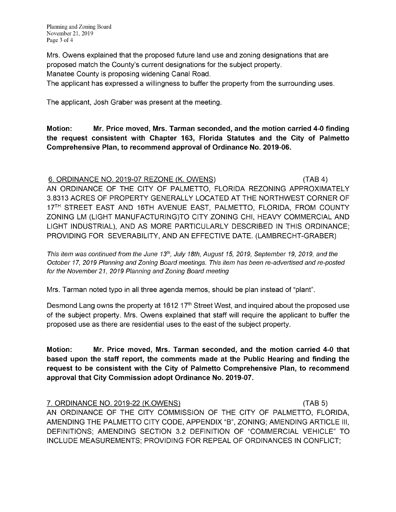Mrs. Owens explained that the proposed future land use and zoning designations that are proposed match the County's current designations for the subject property.

Manatee County is proposing widening Canal Road.

The applicant has expressed a willingness to buffer the property from the surrounding uses.

The applicant, Josh Graber was present at the meeting.

Motion: Mr. Price moved, Mrs. Tarman seconded, and the motion carried 4-0 finding the request consistent with Chapter 163, Florida Statutes and the City of Palmetto Comprehensive Plan, to recommend approval of Ordinance No. 2019-06.

6. ORDINANCE NO. 2019-07 REZONE (K. OWENS) (TAB 4) AN ORDINANCE OF THE CITY OF PALMETTO, FLORIDA REZONING APPROXIMATELY 3.8313ACRES OFPROPERTY GENERALLY LOCATED ATTHENORTHWEST CORNER OF 17<sup>TH</sup> STREET EAST AND 16TH AVENUE EAST, PALMETTO, FLORIDA, FROM COUNTY ZONING LM (LIGHT MANUFACTURING)TO CITY ZONING CHI, HEAVY COMMERCIAL AND LIGHT INDUSTRIAL), AND AS MORE PARTICULARLY DESCRIBED IN THIS ORDINANCE; PROVIDING FOR SEVERABILITY, ANDANEFFECTIVE DATE. (LAMBRECHT-GRABER)

This item was continued from the June 13<sup>th</sup>, July 18th, August 15, 2019, September 19, 2019, and the October 17, 2019 Planning and Zoning Board meetings. This item has been re-advertised and re-posted for the November 21, 2019 Planning and Zoning Board meeting

Mrs. Tarman noted typo in all three agenda memos, should be plan instead of "plant".

Desmond Lang owns the property at 1612 17<sup>th</sup> Street West, and inquired about the proposed use of the subject property. Mrs. Owens explained that staff will require the applicant to buffer the proposed use as there are residential uses to the east of the subject property.

Motion: Mr. Price moved, Mrs. Tarman seconded, and the motion carried 4-0 that based upon the staff report, the comments made at the Public Hearing and finding the request to be consistent with the City of Palmetto Comprehensive Plan, to recommend approval that City Commission adopt Ordinance No. 2019-07.

7. ORDINANCE NO. 2019-22 (K.OWENS) ( TAB5) AN ORDINANCE OF THE CITY COMMISSION OF THE CITY OF PALMETTO, FLORIDA, AMENDING THE PALMETTO CITY CODE, APPENDIX "B", ZONING; AMENDING ARTICLE III, DEFINITIONS; AMENDING SECTION 3.2 DEFINITION OF "COMMERCIAL VEHICLE" TO INCLUDE MEASUREMENTS; PROVIDING FOR REPEAL OF ORDINANCES IN CONFLICT;